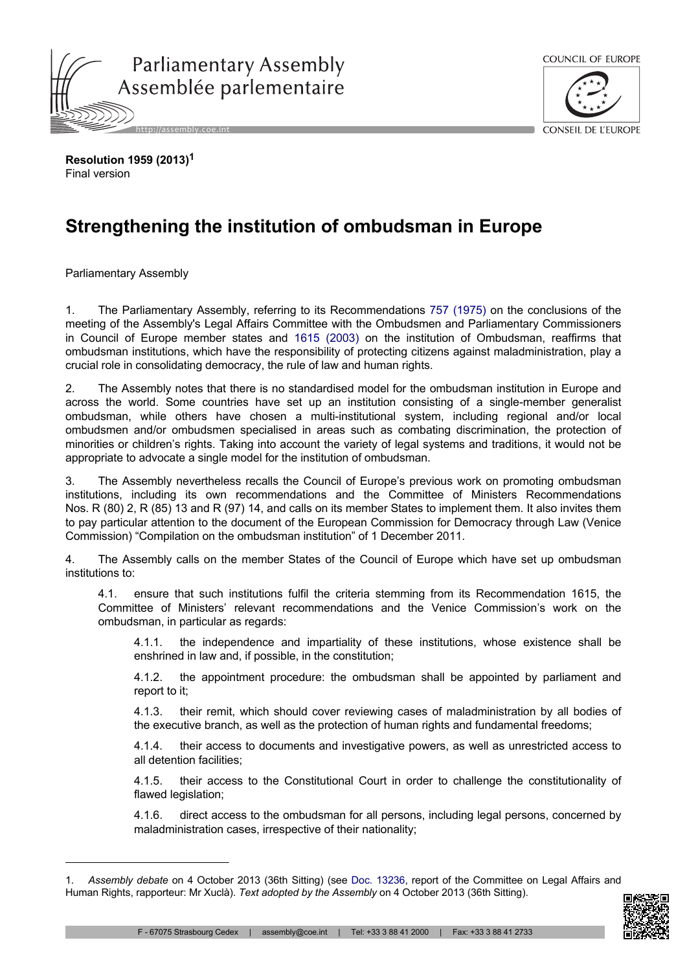



**Resolution 1959 (2013)<sup>1</sup>** Final version

## **Strengthening the institution of ombudsman in Europe**

Parliamentary Assembly

1. The Parliamentary Assembly, referring to its Recommendations 757 [\(1975\)](http://assembly.coe.int/nw/xml/XRef/Xref-DocDetails-en.asp?FileId=14791) on the conclusions of the meeting of the Assembly's Legal Affairs Committee with the Ombudsmen and Parliamentary Commissioners in Council of Europe member states and 1615 [\(2003\)](http://assembly.coe.int/nw/xml/XRef/Xref-DocDetails-en.asp?FileId=17133) on the institution of Ombudsman, reaffirms that ombudsman institutions, which have the responsibility of protecting citizens against maladministration, play a crucial role in consolidating democracy, the rule of law and human rights.

2. The Assembly notes that there is no standardised model for the ombudsman institution in Europe and across the world. Some countries have set up an institution consisting of a single-member generalist ombudsman, while others have chosen a multi-institutional system, including regional and/or local ombudsmen and/or ombudsmen specialised in areas such as combating discrimination, the protection of minorities or children's rights. Taking into account the variety of legal systems and traditions, it would not be appropriate to advocate a single model for the institution of ombudsman.

3. The Assembly nevertheless recalls the Council of Europe's previous work on promoting ombudsman institutions, including its own recommendations and the Committee of Ministers Recommendations Nos. R (80) 2, R (85) 13 and R (97) 14, and calls on its member States to implement them. It also invites them to pay particular attention to the document of the European Commission for Democracy through Law (Venice Commission) "Compilation on the ombudsman institution" of 1 December 2011.

4. The Assembly calls on the member States of the Council of Europe which have set up ombudsman institutions to:

4.1. ensure that such institutions fulfil the criteria stemming from its Recommendation 1615, the Committee of Ministers' relevant recommendations and the Venice Commission's work on the ombudsman, in particular as regards:

4.1.1. the independence and impartiality of these institutions, whose existence shall be enshrined in law and, if possible, in the constitution;

4.1.2. the appointment procedure: the ombudsman shall be appointed by parliament and report to it;

4.1.3. their remit, which should cover reviewing cases of maladministration by all bodies of the executive branch, as well as the protection of human rights and fundamental freedoms;

4.1.4. their access to documents and investigative powers, as well as unrestricted access to all detention facilities;

4.1.5. their access to the Constitutional Court in order to challenge the constitutionality of flawed legislation;

4.1.6. direct access to the ombudsman for all persons, including legal persons, concerned by maladministration cases, irrespective of their nationality;

<sup>1.</sup> *Assembly debate* on 4 October 2013 (36th Sitting) (see Doc. [13236](http://assembly.coe.int/nw/xml/XRef/Xref-DocDetails-en.asp?FileId=19786), report of the Committee on Legal Affairs and Human Rights, rapporteur: Mr Xuclà). *Text adopted by the Assembly* on 4 October 2013 (36th Sitting).